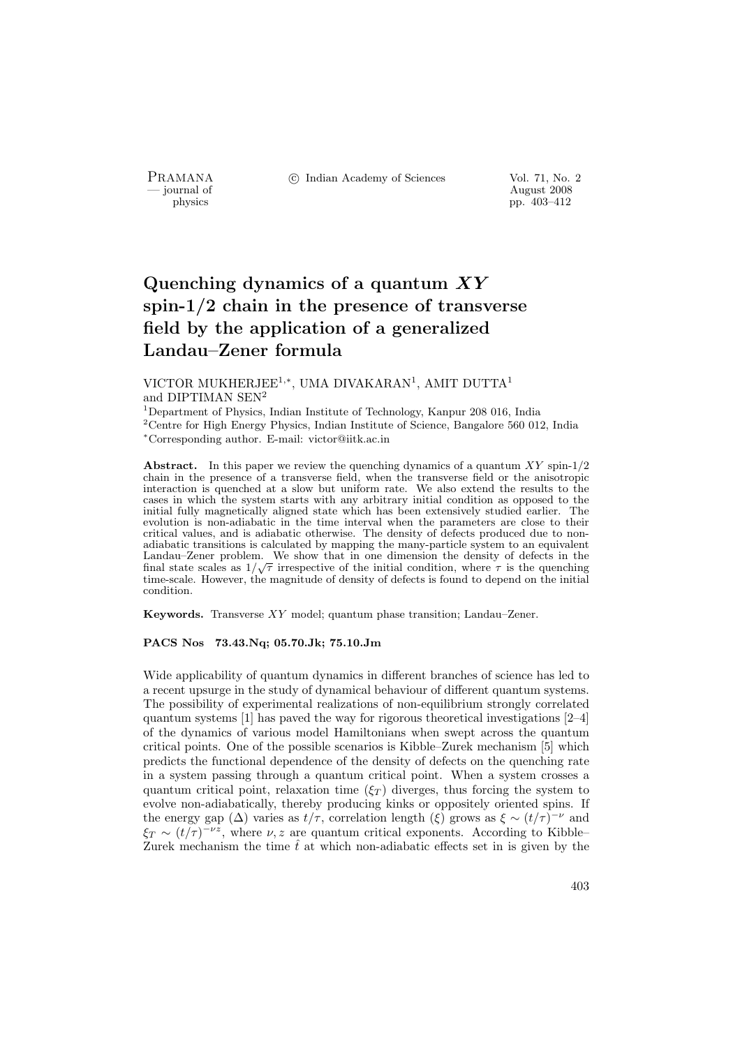PRAMANA <sup>6</sup> © Indian Academy of Sciences Vol. 71, No. 2<br>
— journal of August 2008

physics and the contract of the contract of the contract 2008 physics and the contract  $\frac{1}{2008}$  pp. 403–412 pp. 403–412

# Quenching dynamics of a quantum  $XY$ spin-1/2 chain in the presence of transverse field by the application of a generalized Landau–Zener formula

## VICTOR MUKHERJEE<sup>1,\*</sup>, UMA DIVAKARAN<sup>1</sup>, AMIT DUTTA<sup>1</sup> and DIPTIMAN SEN<sup>2</sup>

<sup>1</sup>Department of Physics, Indian Institute of Technology, Kanpur 208 016, India <sup>2</sup>Centre for High Energy Physics, Indian Institute of Science, Bangalore 560 012, India <sup>∗</sup>Corresponding author. E-mail: victor@iitk.ac.in

Abstract. In this paper we review the quenching dynamics of a quantum  $XY$  spin-1/2 chain in the presence of a transverse field, when the transverse field or the anisotropic interaction is quenched at a slow but uniform rate. We also extend the results to the cases in which the system starts with any arbitrary initial condition as opposed to the initial fully magnetically aligned state which has been extensively studied earlier. The evolution is non-adiabatic in the time interval when the parameters are close to their critical values, and is adiabatic otherwise. The density of defects produced due to nonadiabatic transitions is calculated by mapping the many-particle system to an equivalent Landau–Zener problem. We show that in one dimension the density of defects in the final state scales as  $1/\sqrt{\tau}$  irrespective of the initial condition, where  $\tau$  is the quenching time-scale. However, the magnitude of density of defects is found to depend on the initial condition.

Keywords. Transverse XY model; quantum phase transition; Landau–Zener.

### PACS Nos 73.43.Nq; 05.70.Jk; 75.10.Jm

Wide applicability of quantum dynamics in different branches of science has led to a recent upsurge in the study of dynamical behaviour of different quantum systems. The possibility of experimental realizations of non-equilibrium strongly correlated quantum systems [1] has paved the way for rigorous theoretical investigations [2–4] of the dynamics of various model Hamiltonians when swept across the quantum critical points. One of the possible scenarios is Kibble–Zurek mechanism [5] which predicts the functional dependence of the density of defects on the quenching rate in a system passing through a quantum critical point. When a system crosses a quantum critical point, relaxation time  $(\xi_T)$  diverges, thus forcing the system to evolve non-adiabatically, thereby producing kinks or oppositely oriented spins. If the energy gap  $(\Delta)$  varies as  $t/\tau$ , correlation length  $(\xi)$  grows as  $\xi \sim (t/\tau)^{-\nu}$  and  $\xi_T \sim (t/\tau)^{-\nu z}$ , where  $\nu, z$  are quantum critical exponents. According to Kibble– Zurek mechanism the time  $\hat{t}$  at which non-adiabatic effects set in is given by the

403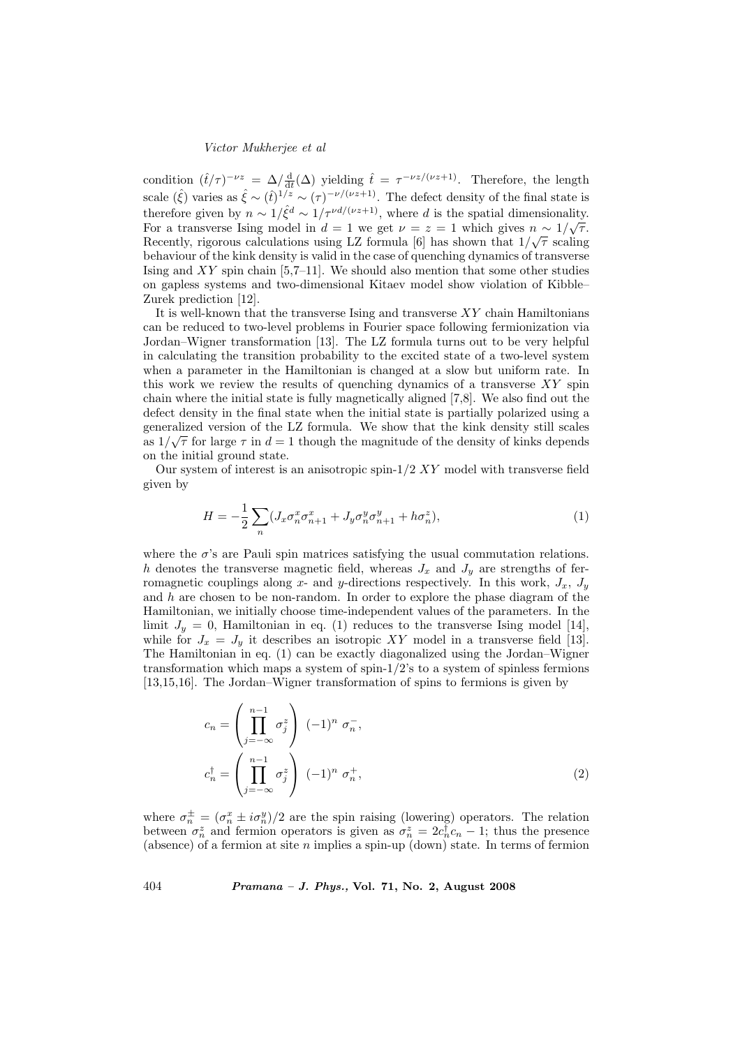condition  $(\hat{t}/\tau)^{-\nu z} = \Delta/\frac{d}{dt}(\Delta)$  yielding  $\hat{t} = \tau^{-\nu z/(\nu z + 1)}$ . Therefore, the length scale  $(\hat{\xi})$  varies as  $\hat{\xi} \sim (\hat{t})^{1/z} \sim (\tau)^{-\nu/(\nu z+1)}$ . The defect density of the final state is therefore given by  $n \sim 1/\hat{\xi}^d \sim 1/\tau^{\nu d/(\nu z+1)}$ , where d is the spatial dimensionality. For a transverse Ising model in  $d = 1$  we get  $\nu = z = 1$  which gives  $n \sim 1/\sqrt{\tau}$ . Recently, rigorous calculations using LZ formula [6] has shown that  $1/\sqrt{\tau}$  scaling behaviour of the kink density is valid in the case of quenching dynamics of transverse Ising and  $XY$  spin chain [5,7–11]. We should also mention that some other studies on gapless systems and two-dimensional Kitaev model show violation of Kibble– Zurek prediction [12].

It is well-known that the transverse Ising and transverse  $XY$  chain Hamiltonians can be reduced to two-level problems in Fourier space following fermionization via Jordan–Wigner transformation [13]. The LZ formula turns out to be very helpful in calculating the transition probability to the excited state of a two-level system when a parameter in the Hamiltonian is changed at a slow but uniform rate. In this work we review the results of quenching dynamics of a transverse  $XY$  spin chain where the initial state is fully magnetically aligned [7,8]. We also find out the defect density in the final state when the initial state is partially polarized using a generalized version of the LZ formula. We show that the kink density still scales as  $1/\sqrt{\tau}$  for large  $\tau$  in  $d=1$  though the magnitude of the density of kinks depends on the initial ground state.

Our system of interest is an anisotropic spin- $1/2$  XY model with transverse field given by

$$
H = -\frac{1}{2} \sum_{n} (J_x \sigma_n^x \sigma_{n+1}^x + J_y \sigma_n^y \sigma_{n+1}^y + h \sigma_n^z), \tag{1}
$$

where the  $\sigma$ 's are Pauli spin matrices satisfying the usual commutation relations. h denotes the transverse magnetic field, whereas  $J_x$  and  $J_y$  are strengths of ferromagnetic couplings along x- and y-directions respectively. In this work,  $J_x$ ,  $J_y$ and  $h$  are chosen to be non-random. In order to explore the phase diagram of the Hamiltonian, we initially choose time-independent values of the parameters. In the limit  $J_y = 0$ , Hamiltonian in eq. (1) reduces to the transverse Ising model [14], while for  $J_x = J_y$  it describes an isotropic XY model in a transverse field [13]. The Hamiltonian in eq. (1) can be exactly diagonalized using the Jordan–Wigner transformation which maps a system of spin- $1/2$ 's to a system of spinless fermions [13,15,16]. The Jordan–Wigner transformation of spins to fermions is given by

$$
c_n = \left(\prod_{j=-\infty}^{n-1} \sigma_j^z\right) (-1)^n \sigma_n^-,
$$
  

$$
c_n^{\dagger} = \left(\prod_{j=-\infty}^{n-1} \sigma_j^z\right) (-1)^n \sigma_n^+,
$$
 (2)

where  $\sigma_n^{\pm} = (\sigma_n^x \pm i \sigma_n^y)/2$  are the spin raising (lowering) operators. The relation between  $\sigma_n^z$  and fermion operators is given as  $\sigma_n^z = 2c_n^{\dagger}c_n - 1$ ; thus the presence (absence) of a fermion at site  $n$  implies a spin-up (down) state. In terms of fermion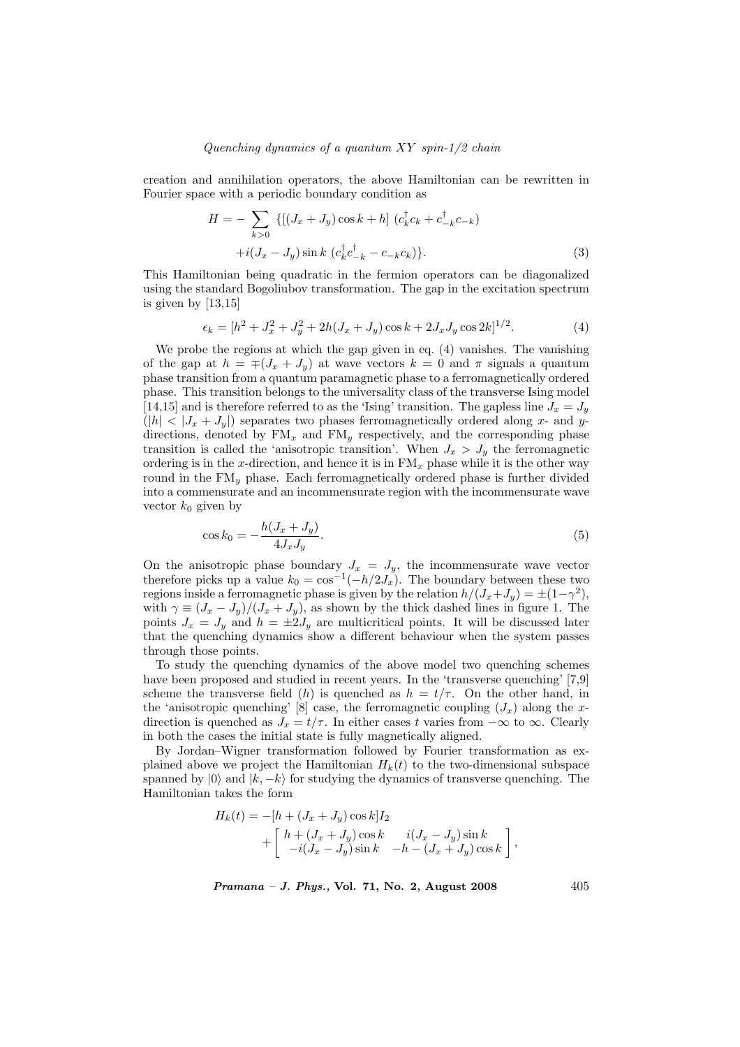#### Quenching dynamics of a quantum  $XY$  spin-1/2 chain

creation and annihilation operators, the above Hamiltonian can be rewritten in Fourier space with a periodic boundary condition as

$$
H = -\sum_{k>0} \{ [(J_x + J_y)\cos k + h] (c_k^{\dagger} c_k + c_{-k}^{\dagger} c_{-k})
$$
  
 
$$
+ i(J_x - J_y)\sin k (c_k^{\dagger} c_{-k}^{\dagger} - c_{-k} c_k) \}.
$$
 (3)

This Hamiltonian being quadratic in the fermion operators can be diagonalized using the standard Bogoliubov transformation. The gap in the excitation spectrum is given by  $[13,15]$ 

$$
\epsilon_k = [h^2 + J_x^2 + J_y^2 + 2h(J_x + J_y)\cos k + 2J_xJ_y\cos 2k]^{1/2}.
$$
 (4)

We probe the regions at which the gap given in eq. (4) vanishes. The vanishing of the gap at  $h = \mp (J_x + J_y)$  at wave vectors  $k = 0$  and  $\pi$  signals a quantum phase transition from a quantum paramagnetic phase to a ferromagnetically ordered phase. This transition belongs to the universality class of the transverse Ising model [14,15] and is therefore referred to as the 'Ising' transition. The gapless line  $J_x = J_y$  $(|h| < |J_x + J_y|)$  separates two phases ferromagnetically ordered along x- and ydirections, denoted by  $FM_x$  and  $FM_y$  respectively, and the corresponding phase transition is called the 'anisotropic transition'. When  $J_x > J_y$  the ferromagnetic ordering is in the x-direction, and hence it is in  $\text{FM}_x$  phase while it is the other way round in the  $\overline{FM}_y$  phase. Each ferromagnetically ordered phase is further divided into a commensurate and an incommensurate region with the incommensurate wave vector  $k_0$  given by

$$
\cos k_0 = -\frac{h(J_x + J_y)}{4J_x J_y}.\tag{5}
$$

On the anisotropic phase boundary  $J_x = J_y$ , the incommensurate wave vector therefore picks up a value  $k_0 = \cos^{-1}(-h/2J_x)$ . The boundary between these two regions inside a ferromagnetic phase is given by the relation  $h/(J_x+J_y) = \pm(1-\gamma^2)$ , with  $\gamma \equiv (J_x - J_y)/(J_x + J_y)$ , as shown by the thick dashed lines in figure 1. The points  $J_x = J_y$  and  $h = \pm 2J_y$  are multicritical points. It will be discussed later that the quenching dynamics show a different behaviour when the system passes through those points.

To study the quenching dynamics of the above model two quenching schemes have been proposed and studied in recent years. In the 'transverse quenching' [7,9] scheme the transverse field (h) is quenched as  $h = t/\tau$ . On the other hand, in the 'anisotropic quenching' [8] case, the ferromagnetic coupling  $(J_x)$  along the xdirection is quenched as  $J_x = t/\tau$ . In either cases t varies from  $-\infty$  to  $\infty$ . Clearly in both the cases the initial state is fully magnetically aligned.

By Jordan–Wigner transformation followed by Fourier transformation as explained above we project the Hamiltonian  $H_k(t)$  to the two-dimensional subspace spanned by  $|0\rangle$  and  $|k, -k\rangle$  for studying the dynamics of transverse quenching. The Hamiltonian takes the form

$$
H_k(t) = -[h + (J_x + J_y)\cos k]I_2
$$
  
+  $\begin{bmatrix} h + (J_x + J_y)\cos k & i(J_x - J_y)\sin k \\ -i(J_x - J_y)\sin k & -h - (J_x + J_y)\cos k \end{bmatrix}$ ,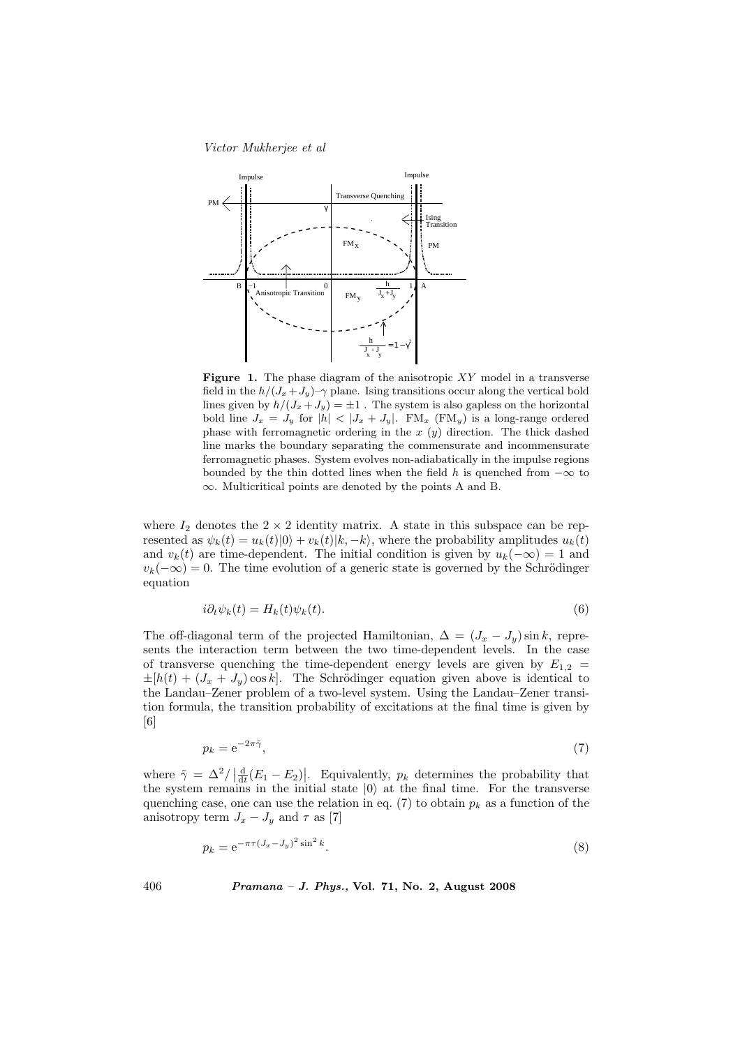

Figure 1. The phase diagram of the anisotropic  $XY$  model in a transverse field in the  $h/(J_x+J_y)-\gamma$  plane. Ising transitions occur along the vertical bold lines given by  $h/(J_x+J_y) = \pm 1$ . The system is also gapless on the horizontal bold line  $J_x = J_y$  for  $|h| < |J_x + J_y|$ . FM<sub>x</sub> (FM<sub>y</sub>) is a long-range ordered phase with ferromagnetic ordering in the  $x (y)$  direction. The thick dashed line marks the boundary separating the commensurate and incommensurate ferromagnetic phases. System evolves non-adiabatically in the impulse regions bounded by the thin dotted lines when the field h is quenched from  $-\infty$  to ∞. Multicritical points are denoted by the points A and B.

where  $I_2$  denotes the  $2 \times 2$  identity matrix. A state in this subspace can be represented as  $\psi_k(t) = u_k(t)|0\rangle + v_k(t)|k, -k\rangle$ , where the probability amplitudes  $u_k(t)$ and  $v_k(t)$  are time-dependent. The initial condition is given by  $u_k(-\infty) = 1$  and  $v_k(-\infty) = 0$ . The time evolution of a generic state is governed by the Schrödinger equation

$$
i\partial_t \psi_k(t) = H_k(t)\psi_k(t). \tag{6}
$$

The off-diagonal term of the projected Hamiltonian,  $\Delta = (J_x - J_y) \sin k$ , represents the interaction term between the two time-dependent levels. In the case of transverse quenching the time-dependent energy levels are given by  $E_{1,2}$  =  $\pm[h(t) + (J_x + J_y)\cos k]$ . The Schrödinger equation given above is identical to the Landau–Zener problem of a two-level system. Using the Landau–Zener transition formula, the transition probability of excitations at the final time is given by [6]

$$
p_k = e^{-2\pi \tilde{\gamma}},\tag{7}
$$

where  $\tilde{\gamma} = \Delta^2 / \left| \frac{d}{dt} (E_1 - E_2) \right|$ |. Equivalently,  $p_k$  determines the probability that the system remains in the initial state  $|0\rangle$  at the final time. For the transverse quenching case, one can use the relation in eq. (7) to obtain  $p_k$  as a function of the anisotropy term  $J_x - J_y$  and  $\tau$  as [7]

$$
p_k = e^{-\pi \tau (J_x - J_y)^2 \sin^2 k}.
$$
\n(8)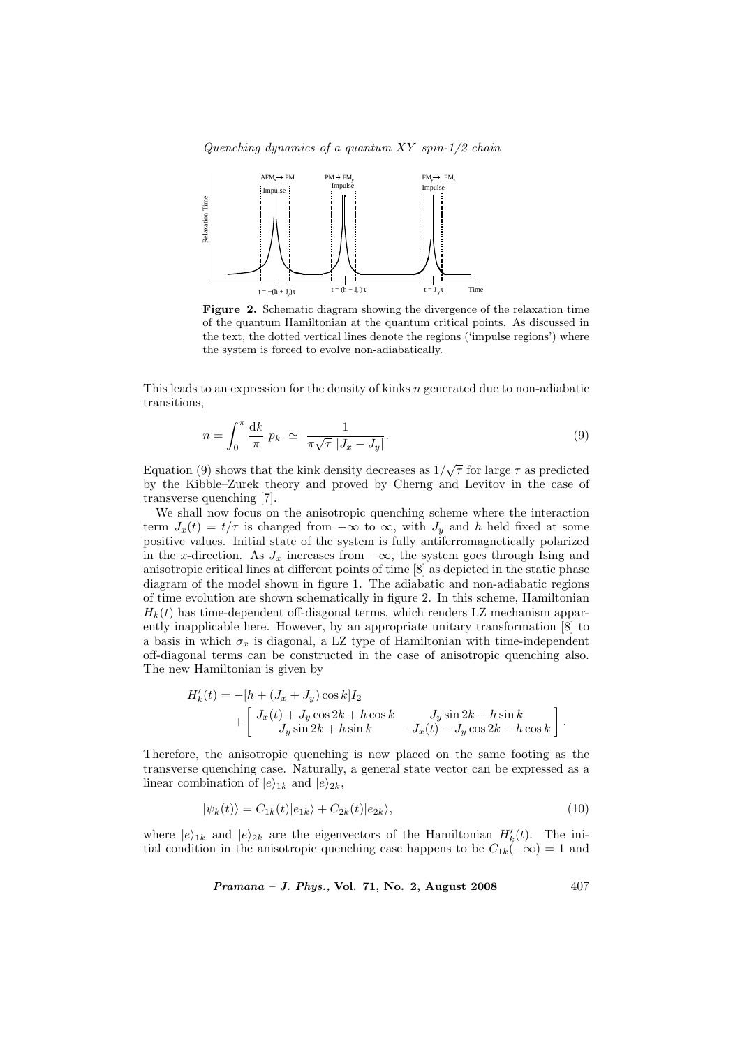Quenching dynamics of a quantum  $XY$  spin-1/2 chain



Figure 2. Schematic diagram showing the divergence of the relaxation time of the quantum Hamiltonian at the quantum critical points. As discussed in the text, the dotted vertical lines denote the regions ('impulse regions') where the system is forced to evolve non-adiabatically.

This leads to an expression for the density of kinks  $n$  generated due to non-adiabatic transitions,

$$
n = \int_0^\pi \frac{\mathrm{d}k}{\pi} p_k \simeq \frac{1}{\pi \sqrt{\tau} |J_x - J_y|}.
$$
\n(9)

Equation (9) shows that the kink density decreases as  $1/\sqrt{\tau}$  for large  $\tau$  as predicted by the Kibble–Zurek theory and proved by Cherng and Levitov in the case of transverse quenching [7].

We shall now focus on the anisotropic quenching scheme where the interaction term  $J_x(t) = t/\tau$  is changed from  $-\infty$  to  $\infty$ , with  $J_y$  and h held fixed at some positive values. Initial state of the system is fully antiferromagnetically polarized in the x-direction. As  $J_x$  increases from  $-\infty$ , the system goes through Ising and anisotropic critical lines at different points of time [8] as depicted in the static phase diagram of the model shown in figure 1. The adiabatic and non-adiabatic regions of time evolution are shown schematically in figure 2. In this scheme, Hamiltonian  $H_k(t)$  has time-dependent off-diagonal terms, which renders LZ mechanism apparently inapplicable here. However, by an appropriate unitary transformation [8] to a basis in which  $\sigma_x$  is diagonal, a LZ type of Hamiltonian with time-independent off-diagonal terms can be constructed in the case of anisotropic quenching also. The new Hamiltonian is given by

$$
H'_{k}(t) = -[h + (J_x + J_y)\cos k]I_2
$$
  
+ 
$$
\begin{bmatrix} J_x(t) + J_y\cos 2k + h\cos k & J_y\sin 2k + h\sin k \\ J_y\sin 2k + h\sin k & -J_x(t) - J_y\cos 2k - h\cos k \end{bmatrix}.
$$

Therefore, the anisotropic quenching is now placed on the same footing as the transverse quenching case. Naturally, a general state vector can be expressed as a linear combination of  $|e\rangle_{1k}$  and  $|e\rangle_{2k}$ ,

$$
|\psi_k(t)\rangle = C_{1k}(t)|e_{1k}\rangle + C_{2k}(t)|e_{2k}\rangle,\tag{10}
$$

where  $|e\rangle_{1k}$  and  $|e\rangle_{2k}$  are the eigenvectors of the Hamiltonian  $H'_{k}(t)$ . The initial condition in the anisotropic quenching case happens to be  $C_{1k}(-\infty) = 1$  and

Pramana – J. Phys., Vol. 71, No. 2, August 2008

\n
$$
407
$$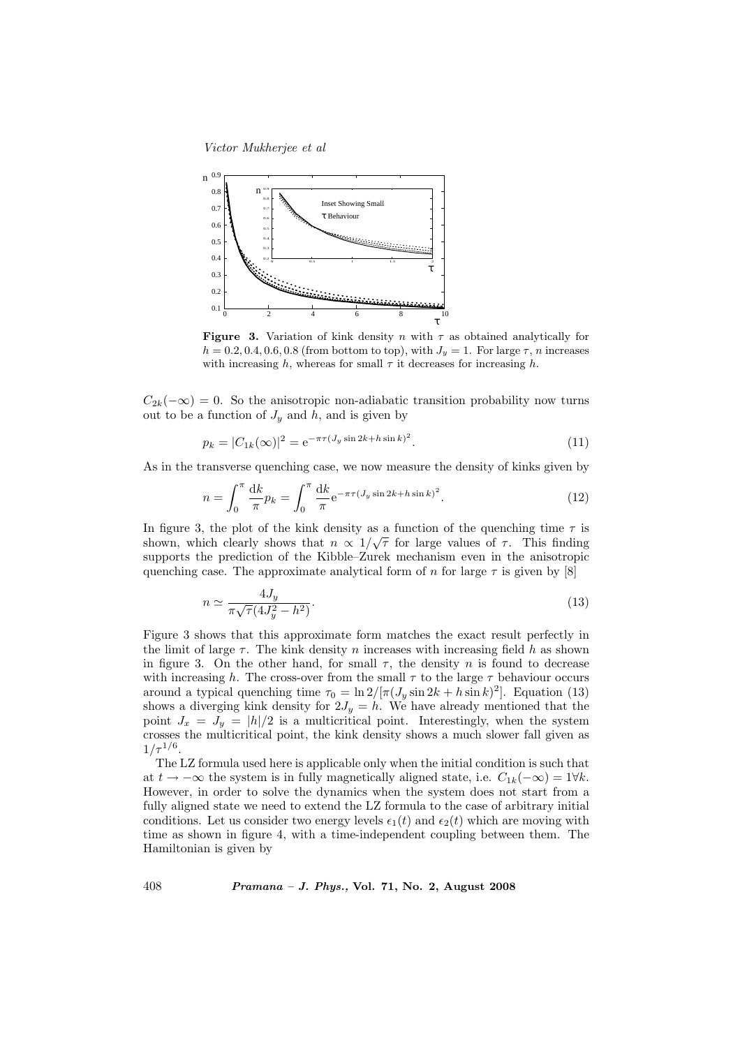

Figure 3. Variation of kink density n with  $\tau$  as obtained analytically for  $h = 0.2, 0.4, 0.6, 0.8$  (from bottom to top), with  $J<sub>y</sub> = 1$ . For large  $\tau$ , *n* increases with increasing h, whereas for small  $\tau$  it decreases for increasing h.

 $C_{2k}(-\infty) = 0$ . So the anisotropic non-adiabatic transition probability now turns out to be a function of  $J_y$  and h, and is given by

$$
p_k = |C_{1k}(\infty)|^2 = e^{-\pi \tau (J_y \sin 2k + h \sin k)^2}.
$$
 (11)

As in the transverse quenching case, we now measure the density of kinks given by

$$
n = \int_0^{\pi} \frac{\mathrm{d}k}{\pi} p_k = \int_0^{\pi} \frac{\mathrm{d}k}{\pi} e^{-\pi \tau (J_y \sin 2k + h \sin k)^2}.
$$
 (12)

In figure 3, the plot of the kink density as a function of the quenching time  $\tau$  is shown, which clearly shows that  $n \propto 1/\sqrt{\tau}$  for large values of  $\tau$ . This finding supports the prediction of the Kibble–Zurek mechanism even in the anisotropic quenching case. The approximate analytical form of n for large  $\tau$  is given by [8]

$$
n \simeq \frac{4J_y}{\pi\sqrt{\tau}(4J_y^2 - h^2)}.\tag{13}
$$

Figure 3 shows that this approximate form matches the exact result perfectly in the limit of large  $\tau$ . The kink density n increases with increasing field h as shown in figure 3. On the other hand, for small  $\tau$ , the density n is found to decrease with increasing h. The cross-over from the small  $\tau$  to the large  $\tau$  behaviour occurs around a typical quenching time  $\tau_0 = \ln 2/[\pi (J_y \sin 2k + h \sin k)^2]$ . Equation (13) shows a diverging kink density for  $2J_y = h$ . We have already mentioned that the point  $J_x = J_y = |h|/2$  is a multicritical point. Interestingly, when the system crosses the multicritical point, the kink density shows a much slower fall given as  $1/\tau^{1/6}$ .

The LZ formula used here is applicable only when the initial condition is such that at  $t \to -\infty$  the system is in fully magnetically aligned state, i.e.  $C_{1k}(-\infty) = 1\forall k$ . However, in order to solve the dynamics when the system does not start from a fully aligned state we need to extend the LZ formula to the case of arbitrary initial conditions. Let us consider two energy levels  $\epsilon_1(t)$  and  $\epsilon_2(t)$  which are moving with time as shown in figure 4, with a time-independent coupling between them. The Hamiltonian is given by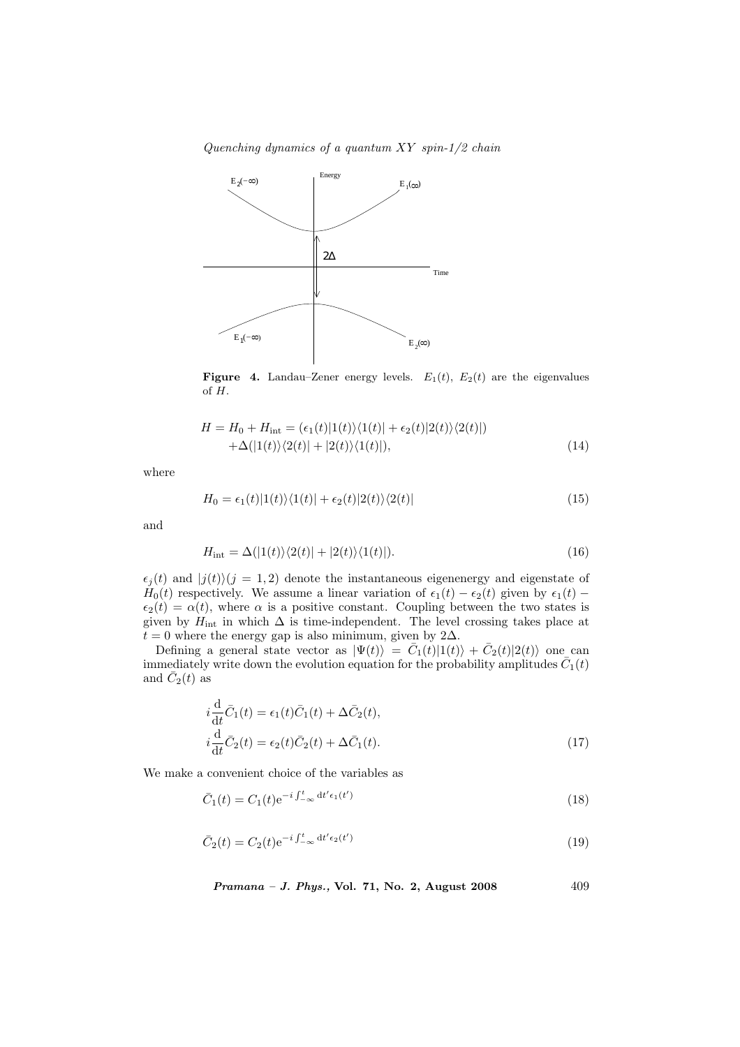Quenching dynamics of a quantum XY spin-1/2 chain



Figure 4. Landau–Zener energy levels.  $E_1(t)$ ,  $E_2(t)$  are the eigenvalues of H.

$$
H = H_0 + H_{\text{int}} = (\epsilon_1(t)|1(t)\rangle\langle1(t)| + \epsilon_2(t)|2(t)\rangle\langle2(t)|)
$$
  
 
$$
+ \Delta(|1(t)\rangle\langle2(t)| + |2(t)\rangle\langle1(t)|), \qquad (14)
$$

where

$$
H_0 = \epsilon_1(t)|1(t)\rangle\langle1(t)| + \epsilon_2(t)|2(t)\rangle\langle2(t)|
$$
\n(15)

and

$$
H_{\rm int} = \Delta(|1(t)\rangle\langle2(t)| + |2(t)\rangle\langle1(t)|).
$$
\n(16)

 $\epsilon_j(t)$  and  $|j(t)\rangle$  $(j = 1, 2)$  denote the instantaneous eigenenergy and eigenstate of  $H_0(t)$  respectively. We assume a linear variation of  $\epsilon_1(t) - \epsilon_2(t)$  given by  $\epsilon_1(t)$  –  $\epsilon_2(t) = \alpha(t)$ , where  $\alpha$  is a positive constant. Coupling between the two states is given by  $H_{\textrm{int}}$  in which  $\Delta$  is time-independent. The level crossing takes place at  $t = 0$  where the energy gap is also minimum, given by 2∆.

Defining a general state vector as  $|\Psi(t)\rangle = \overline{C}_1(t)|1(t)\rangle + \overline{C}_2(t)|2(t)\rangle$  one can immediately write down the evolution equation for the probability amplitudes  $\bar{C}_1(t)$ and  $\overline{C_2}(t)$  as

$$
i\frac{\mathrm{d}}{\mathrm{d}t}\bar{C}_1(t) = \epsilon_1(t)\bar{C}_1(t) + \Delta\bar{C}_2(t),
$$
  
\n
$$
i\frac{\mathrm{d}}{\mathrm{d}t}\bar{C}_2(t) = \epsilon_2(t)\bar{C}_2(t) + \Delta\bar{C}_1(t).
$$
\n(17)

We make a convenient choice of the variables as

$$
\bar{C}_1(t) = C_1(t)e^{-i\int_{-\infty}^t dt' \epsilon_1(t')}
$$
\n(18)

$$
\bar{C}_2(t) = C_2(t)e^{-i\int_{-\infty}^t dt' \epsilon_2(t')}
$$
\n(19)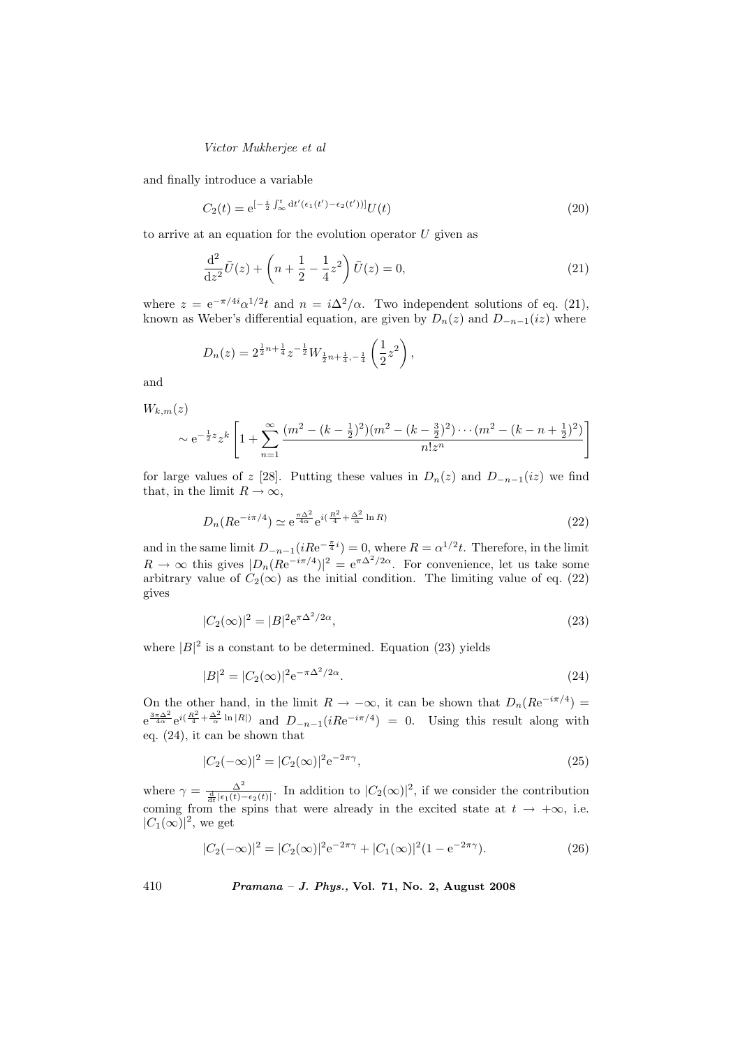and finally introduce a variable

$$
C_2(t) = e^{\left[-\frac{i}{2}\int_{\infty}^t dt'(\epsilon_1(t') - \epsilon_2(t'))\right]}U(t)
$$
\n(20)

to arrive at an equation for the evolution operator  $U$  given as

$$
\frac{\mathrm{d}^2}{\mathrm{d}z^2}\bar{U}(z) + \left(n + \frac{1}{2} - \frac{1}{4}z^2\right)\bar{U}(z) = 0,\tag{21}
$$

where  $z = e^{-\pi/4i} \alpha^{1/2} t$  and  $n = i \Delta^2/\alpha$ . Two independent solutions of eq. (21), known as Weber's differential equation, are given by  $D_n(z)$  and  $D_{-n-1}(iz)$  where

$$
D_n(z) = 2^{\frac{1}{2}n + \frac{1}{4}} z^{-\frac{1}{2}} W_{\frac{1}{2}n + \frac{1}{4}, -\frac{1}{4}} \left(\frac{1}{2}z^2\right),
$$

and

 $W_{k,m}(z)$  $\sim e^{-\frac{1}{2}z}z^k$  $\left[1 + \sum_{n=1}^{\infty} \right]$  $n=1$  $(m^2 - (k - \frac{1}{2})^2)(m^2 - (k - \frac{3}{2})^2) \cdots (m^2 - (k - n + \frac{1}{2})^2)$  $n!z^n$ 

for large values of z [28]. Putting these values in  $D_n(z)$  and  $D_{-n-1}(iz)$  we find that, in the limit  $R \to \infty$ ,

$$
D_n(Re^{-i\pi/4}) \simeq e^{\frac{\pi\Delta^2}{4\alpha}} e^{i(\frac{R^2}{4} + \frac{\Delta^2}{\alpha}\ln R)}
$$
(22)

#

and in the same limit  $D_{-n-1}(iRe^{-\frac{\pi}{4}i}) = 0$ , where  $R = \alpha^{1/2}t$ . Therefore, in the limit  $R \to \infty$  this gives  $|D_n(Re^{-i\pi/4})|^2 = e^{\pi \Delta^2/2\alpha}$ . For convenience, let us take some arbitrary value of  $C_2(\infty)$  as the initial condition. The limiting value of eq. (22) gives

$$
|C_2(\infty)|^2 = |B|^2 e^{\pi \Delta^2/2\alpha},\tag{23}
$$

where  $|B|^2$  is a constant to be determined. Equation (23) yields

$$
|B|^2 = |C_2(\infty)|^2 e^{-\pi \Delta^2/2\alpha}.
$$
\n(24)

On the other hand, in the limit  $R \to -\infty$ , it can be shown that  $D_n(Re^{-i\pi/4}) =$  $e^{\frac{3\pi\Delta^2}{4\alpha}}e^{i(\frac{R^2}{4}+\frac{\Delta^2}{\alpha}\ln|R|)}$  and  $D_{-n-1}(iRe^{-i\pi/4})=0$ . Using this result along with eq. (24), it can be shown that

$$
|C_2(-\infty)|^2 = |C_2(\infty)|^2 e^{-2\pi\gamma},\tag{25}
$$

where  $\gamma = \frac{\Delta^2}{\frac{d}{dt} |\epsilon_1(t) - \epsilon_2(t)|}$ . In addition to  $|C_2(\infty)|^2$ , if we consider the contribution coming from the spins that were already in the excited state at  $t \to +\infty$ , i.e.  $|C_1(\infty)|^2$ , we get

$$
|C_2(-\infty)|^2 = |C_2(\infty)|^2 e^{-2\pi\gamma} + |C_1(\infty)|^2 (1 - e^{-2\pi\gamma}).
$$
\n(26)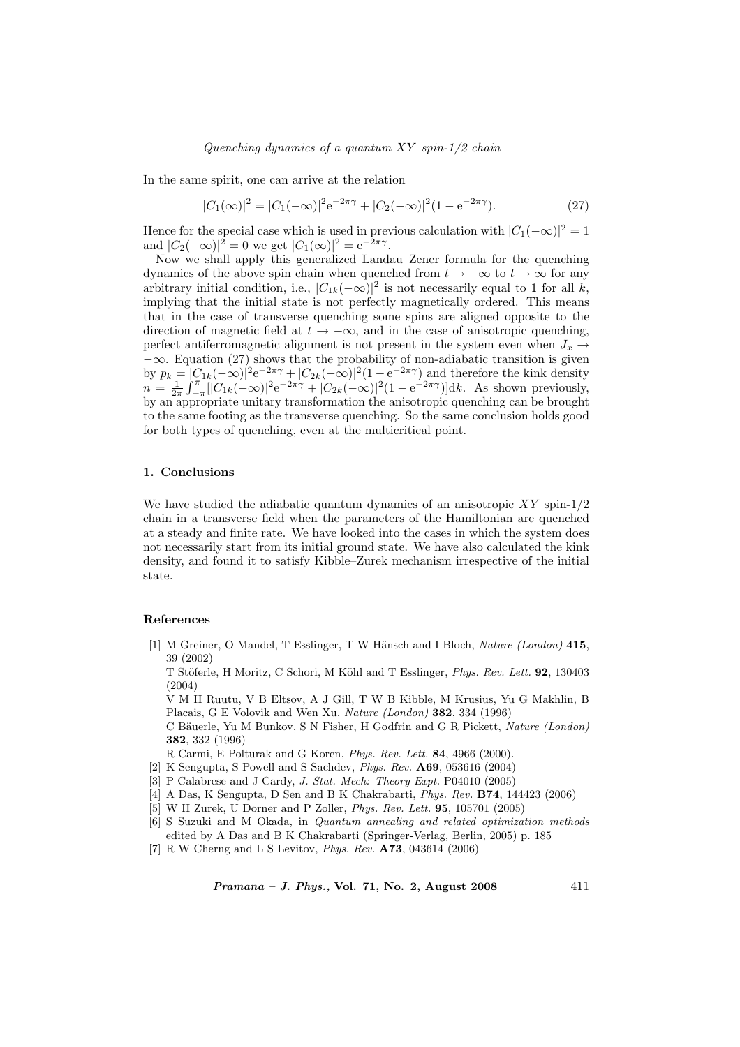In the same spirit, one can arrive at the relation

$$
|C_1(\infty)|^2 = |C_1(-\infty)|^2 e^{-2\pi\gamma} + |C_2(-\infty)|^2 (1 - e^{-2\pi\gamma}).
$$
\n(27)

Hence for the special case which is used in previous calculation with  $|C_1(-\infty)|^2 = 1$ and  $|C_2(-\infty)|^2 = 0$  we get  $|C_1(\infty)|^2 = e^{-2\pi\gamma}$ .

Now we shall apply this generalized Landau–Zener formula for the quenching dynamics of the above spin chain when quenched from  $t \to -\infty$  to  $t \to \infty$  for any arbitrary initial condition, i.e.,  $|C_{1k}(-\infty)|^2$  is not necessarily equal to 1 for all k, implying that the initial state is not perfectly magnetically ordered. This means that in the case of transverse quenching some spins are aligned opposite to the direction of magnetic field at  $t \to -\infty$ , and in the case of anisotropic quenching, perfect antiferromagnetic alignment is not present in the system even when  $J_x \rightarrow$  $-\infty$ . Equation (27) shows that the probability of non-adiabatic transition is given by  $p_k = |C_{1k}(-\infty)|^2 e^{-2\pi\gamma} + |C_{2k}(-\infty)|^2 (1 - e^{-2\pi\gamma})$  and therefore the kink density  $n=\frac{1}{2\pi}$  $\frac{|C|}{r^{\pi}}$  $-\frac{\pi}{4}$ [ $|C_{1k}(-\infty)|^2 e^{-2\pi i/2} + |C_{2k}(-\infty)|^2 (1 - e^{-2\pi i/2})$ ]dk. As shown previously, by an appropriate unitary transformation the anisotropic quenching can be brought to the same footing as the transverse quenching. So the same conclusion holds good for both types of quenching, even at the multicritical point.

#### 1. Conclusions

We have studied the adiabatic quantum dynamics of an anisotropic  $XY$  spin-1/2 chain in a transverse field when the parameters of the Hamiltonian are quenched at a steady and finite rate. We have looked into the cases in which the system does not necessarily start from its initial ground state. We have also calculated the kink density, and found it to satisfy Kibble–Zurek mechanism irrespective of the initial state.

#### References

[1] M Greiner, O Mandel, T Esslinger, T W Hänsch and I Bloch, Nature (London) 415, 39 (2002)

T Stöferle, H Moritz, C Schori, M Köhl and T Esslinger, Phys. Rev. Lett. 92, 130403 (2004)

V M H Ruutu, V B Eltsov, A J Gill, T W B Kibble, M Krusius, Yu G Makhlin, B Placais, G E Volovik and Wen Xu, Nature (London) 382, 334 (1996)

C Bäuerle, Yu M Bunkov, S N Fisher, H Godfrin and G R Pickett, Nature (London) 382, 332 (1996)

R Carmi, E Polturak and G Koren, Phys. Rev. Lett. 84, 4966 (2000).

- [2] K Sengupta, S Powell and S Sachdev, Phys. Rev. A69, 053616 (2004)
- [3] P Calabrese and J Cardy, *J. Stat. Mech: Theory Expt.* P04010 (2005)
- [4] A Das, K Sengupta, D Sen and B K Chakrabarti, Phys. Rev. B74, 144423 (2006)
- [5] W H Zurek, U Dorner and P Zoller, Phys. Rev. Lett. 95, 105701 (2005)
- [6] S Suzuki and M Okada, in Quantum annealing and related optimization methods edited by A Das and B K Chakrabarti (Springer-Verlag, Berlin, 2005) p. 185
- [7] R W Cherng and L S Levitov, Phys. Rev. A73, 043614 (2006)